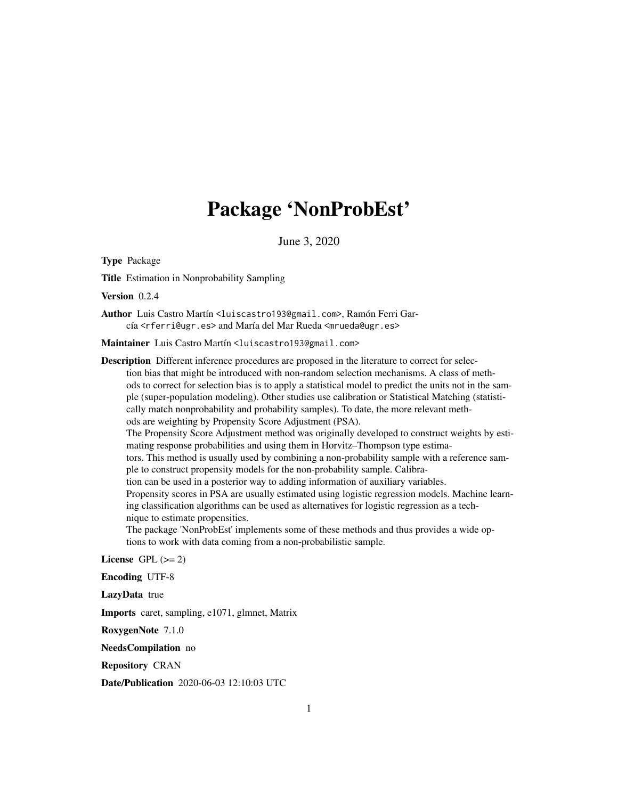# Package 'NonProbEst'

June 3, 2020

<span id="page-0-0"></span>Type Package

Title Estimation in Nonprobability Sampling

Version 0.2.4

Author Luis Castro Martín <luiscastro193@gmail.com>, Ramón Ferri García <rferri@ugr.es> and María del Mar Rueda <mrueda@ugr.es>

Maintainer Luis Castro Martín <luiscastro193@gmail.com>

Description Different inference procedures are proposed in the literature to correct for selection bias that might be introduced with non-random selection mechanisms. A class of methods to correct for selection bias is to apply a statistical model to predict the units not in the sample (super-population modeling). Other studies use calibration or Statistical Matching (statistically match nonprobability and probability samples). To date, the more relevant methods are weighting by Propensity Score Adjustment (PSA). The Propensity Score Adjustment method was originally developed to construct weights by estimating response probabilities and using them in Horvitz–Thompson type estimators. This method is usually used by combining a non-probability sample with a reference sample to construct propensity models for the non-probability sample. Calibration can be used in a posterior way to adding information of auxiliary variables. Propensity scores in PSA are usually estimated using logistic regression models. Machine learning classification algorithms can be used as alternatives for logistic regression as a technique to estimate propensities. The package 'NonProbEst' implements some of these methods and thus provides a wide op-

tions to work with data coming from a non-probabilistic sample.

License GPL  $(>= 2)$ 

Encoding UTF-8

LazyData true

Imports caret, sampling, e1071, glmnet, Matrix

RoxygenNote 7.1.0

NeedsCompilation no

Repository CRAN

Date/Publication 2020-06-03 12:10:03 UTC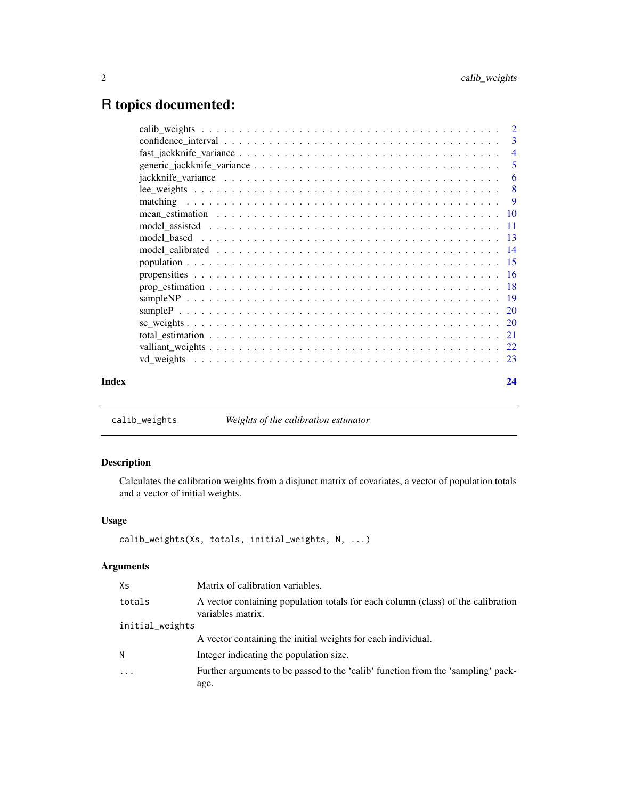## <span id="page-1-0"></span>R topics documented:

|       |                                                                                                              | $\overline{\mathbf{3}}$    |
|-------|--------------------------------------------------------------------------------------------------------------|----------------------------|
|       |                                                                                                              |                            |
|       |                                                                                                              | $\overline{\phantom{0}}$ 5 |
|       |                                                                                                              |                            |
|       |                                                                                                              |                            |
|       |                                                                                                              |                            |
|       | mean estimation $\ldots \ldots \ldots \ldots \ldots \ldots \ldots \ldots \ldots \ldots \ldots \ldots \ldots$ |                            |
|       |                                                                                                              |                            |
|       |                                                                                                              |                            |
|       |                                                                                                              |                            |
|       |                                                                                                              |                            |
|       |                                                                                                              |                            |
|       |                                                                                                              |                            |
|       |                                                                                                              |                            |
|       |                                                                                                              |                            |
|       |                                                                                                              |                            |
|       |                                                                                                              |                            |
|       |                                                                                                              |                            |
|       |                                                                                                              |                            |
| Index |                                                                                                              | 24                         |
|       |                                                                                                              |                            |

<span id="page-1-1"></span>calib\_weights *Weights of the calibration estimator*

### Description

Calculates the calibration weights from a disjunct matrix of covariates, a vector of population totals and a vector of initial weights.

#### Usage

```
calib_weights(Xs, totals, initial_weights, N, ...)
```
## Arguments

| Xs              | Matrix of calibration variables.                                                                      |
|-----------------|-------------------------------------------------------------------------------------------------------|
| totals          | A vector containing population totals for each column (class) of the calibration<br>variables matrix. |
| initial_weights |                                                                                                       |
|                 | A vector containing the initial weights for each individual.                                          |
| Ν               | Integer indicating the population size.                                                               |
| $\ddotsc$       | Further arguments to be passed to the 'calib' function from the 'sampling' pack-<br>age.              |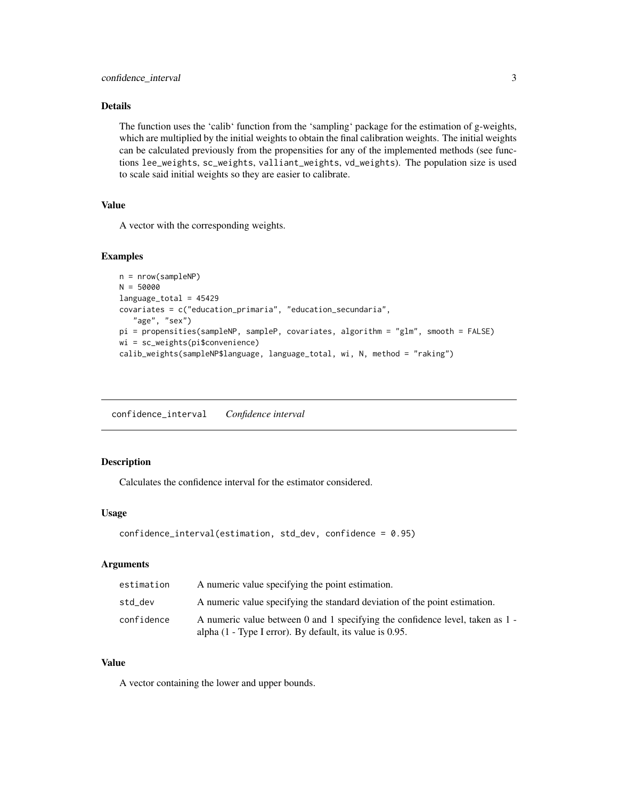#### <span id="page-2-0"></span>Details

The function uses the 'calib' function from the 'sampling' package for the estimation of g-weights, which are multiplied by the initial weights to obtain the final calibration weights. The initial weights can be calculated previously from the propensities for any of the implemented methods (see functions lee\_weights, sc\_weights, valliant\_weights, vd\_weights). The population size is used to scale said initial weights so they are easier to calibrate.

#### Value

A vector with the corresponding weights.

#### Examples

```
n = nrow(sampleNP)
N = 50000
language_total = 45429
covariates = c("education_primaria", "education_secundaria",
   "age", "sex")
pi = propensities(sampleNP, sampleP, covariates, algorithm = "glm", smooth = FALSE)
wi = sc_weights(pi$convenience)
calib_weights(sampleNP$language, language_total, wi, N, method = "raking")
```
confidence\_interval *Confidence interval*

#### Description

Calculates the confidence interval for the estimator considered.

#### Usage

```
confidence_interval(estimation, std_dev, confidence = 0.95)
```
#### Arguments

| estimation | A numeric value specifying the point estimation.                                                                                             |
|------------|----------------------------------------------------------------------------------------------------------------------------------------------|
| std_dev    | A numeric value specifying the standard deviation of the point estimation.                                                                   |
| confidence | A numeric value between 0 and 1 specifying the confidence level, taken as 1 -<br>alpha $(1 - Type I error)$ . By default, its value is 0.95. |

#### Value

A vector containing the lower and upper bounds.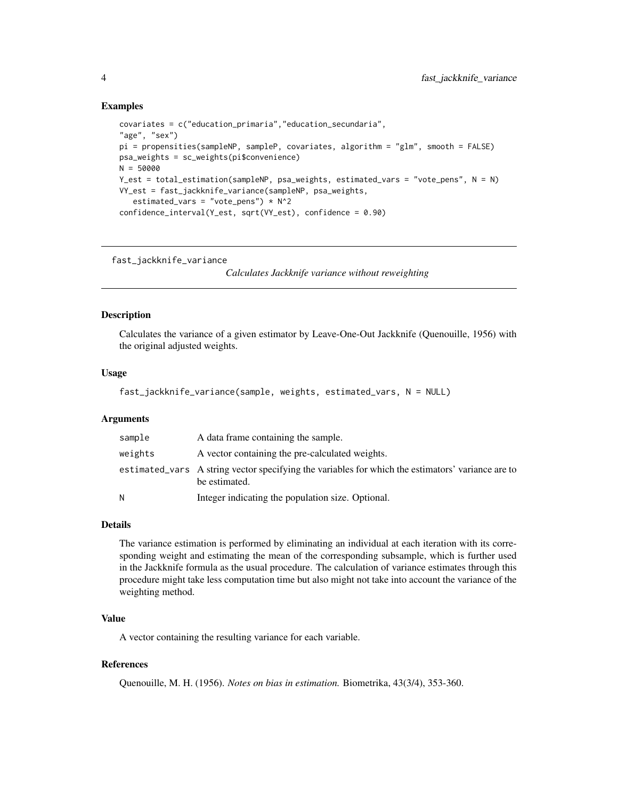```
covariates = c("education_primaria","education_secundaria",
"age", "sex")
pi = propensities(sampleNP, sampleP, covariates, algorithm = "glm", smooth = FALSE)
psa_weights = sc_weights(pi$convenience)
N = 50000
Y_est = total_estimation(sampleNP, psa_weights, estimated_vars = "vote_pens", N = N)
VY_est = fast_jackknife_variance(sampleNP, psa_weights,
   estimated_vars = "vote_pens") * N^2confidence_interval(Y_est, sqrt(VY_est), confidence = 0.90)
```
fast\_jackknife\_variance

*Calculates Jackknife variance without reweighting*

#### Description

Calculates the variance of a given estimator by Leave-One-Out Jackknife (Quenouille, 1956) with the original adjusted weights.

#### Usage

```
fast_jackknife_variance(sample, weights, estimated_vars, N = NULL)
```
#### Arguments

| sample  | A data frame containing the sample.                                                                                |
|---------|--------------------------------------------------------------------------------------------------------------------|
| weights | A vector containing the pre-calculated weights.                                                                    |
|         | estimated vars A string vector specifying the variables for which the estimators' variance are to<br>be estimated. |
| N       | Integer indicating the population size. Optional.                                                                  |

#### Details

The variance estimation is performed by eliminating an individual at each iteration with its corresponding weight and estimating the mean of the corresponding subsample, which is further used in the Jackknife formula as the usual procedure. The calculation of variance estimates through this procedure might take less computation time but also might not take into account the variance of the weighting method.

#### Value

A vector containing the resulting variance for each variable.

#### References

Quenouille, M. H. (1956). *Notes on bias in estimation.* Biometrika, 43(3/4), 353-360.

<span id="page-3-0"></span>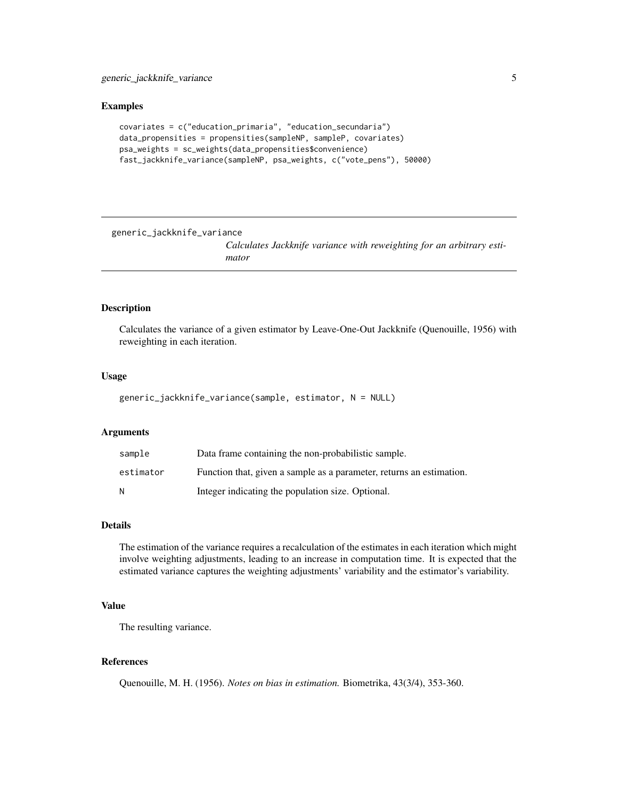```
covariates = c("education_primaria", "education_secundaria")
data_propensities = propensities(sampleNP, sampleP, covariates)
psa_weights = sc_weights(data_propensities$convenience)
fast_jackknife_variance(sampleNP, psa_weights, c("vote_pens"), 50000)
```
generic\_jackknife\_variance

*Calculates Jackknife variance with reweighting for an arbitrary estimator*

#### Description

Calculates the variance of a given estimator by Leave-One-Out Jackknife (Quenouille, 1956) with reweighting in each iteration.

#### Usage

generic\_jackknife\_variance(sample, estimator, N = NULL)

#### Arguments

| sample    | Data frame containing the non-probabilistic sample.                  |
|-----------|----------------------------------------------------------------------|
| estimator | Function that, given a sample as a parameter, returns an estimation. |
| N         | Integer indicating the population size. Optional.                    |

#### Details

The estimation of the variance requires a recalculation of the estimates in each iteration which might involve weighting adjustments, leading to an increase in computation time. It is expected that the estimated variance captures the weighting adjustments' variability and the estimator's variability.

#### Value

The resulting variance.

#### References

Quenouille, M. H. (1956). *Notes on bias in estimation.* Biometrika, 43(3/4), 353-360.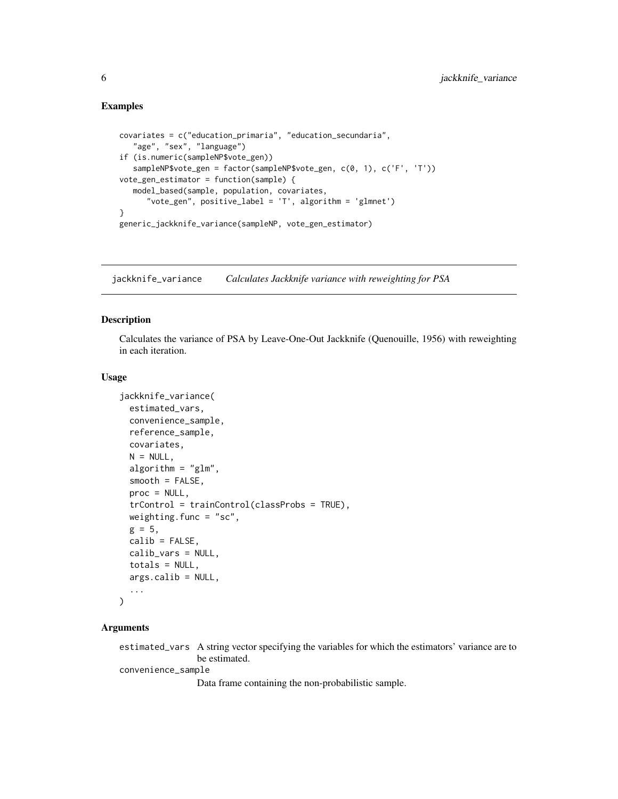```
covariates = c("education_primaria", "education_secundaria",
   "age", "sex", "language")
if (is.numeric(sampleNP$vote_gen))
  sampleNP$vote_gen = factor(sampleNP$vote_gen, c(0, 1), c('F', 'T'))
vote_gen_estimator = function(sample) {
  model_based(sample, population, covariates,
      "vote_gen", positive_label = 'T', algorithm = 'glmnet')
}
generic_jackknife_variance(sampleNP, vote_gen_estimator)
```
jackknife\_variance *Calculates Jackknife variance with reweighting for PSA*

#### Description

Calculates the variance of PSA by Leave-One-Out Jackknife (Quenouille, 1956) with reweighting in each iteration.

#### Usage

```
jackknife_variance(
  estimated_vars,
  convenience_sample,
  reference_sample,
  covariates,
 N = NULL,algorithm = "glm",smooth = FALSE,proc = NULL,
  trControl = trainControl(classProbs = TRUE),
 weighting.func = "sc",g = 5,
  calib = FALSE,
  calib_vars = NULL,
  totals = NULL,
  args.calib = NULL,
  ...
)
```
#### Arguments

estimated\_vars A string vector specifying the variables for which the estimators' variance are to be estimated.

convenience\_sample

Data frame containing the non-probabilistic sample.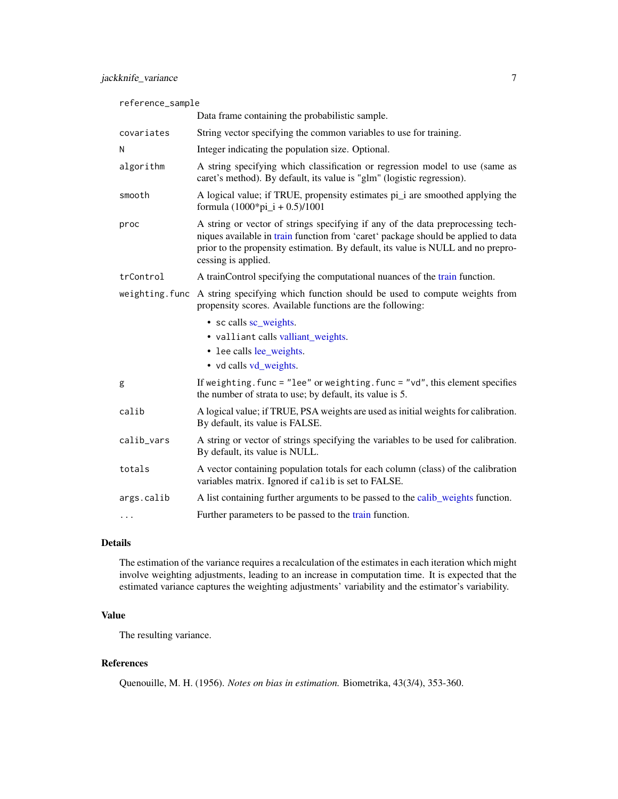<span id="page-6-0"></span>

| reference_sample |                                                                                                                                                                                                                                                                                 |  |
|------------------|---------------------------------------------------------------------------------------------------------------------------------------------------------------------------------------------------------------------------------------------------------------------------------|--|
|                  | Data frame containing the probabilistic sample.                                                                                                                                                                                                                                 |  |
| covariates       | String vector specifying the common variables to use for training.                                                                                                                                                                                                              |  |
| N                | Integer indicating the population size. Optional.                                                                                                                                                                                                                               |  |
| algorithm        | A string specifying which classification or regression model to use (same as<br>caret's method). By default, its value is "glm" (logistic regression).                                                                                                                          |  |
| smooth           | A logical value; if TRUE, propensity estimates pi_i are smoothed applying the<br>formula $(1000*pi_i + 0.5)/1001$                                                                                                                                                               |  |
| proc             | A string or vector of strings specifying if any of the data preprocessing tech-<br>niques available in train function from 'caret' package should be applied to data<br>prior to the propensity estimation. By default, its value is NULL and no prepro-<br>cessing is applied. |  |
| trControl        | A trainControl specifying the computational nuances of the train function.                                                                                                                                                                                                      |  |
|                  | weighting. func A string specifying which function should be used to compute weights from<br>propensity scores. Available functions are the following:                                                                                                                          |  |
|                  | • sc calls sc_weights.                                                                                                                                                                                                                                                          |  |
|                  | • valliant calls valliant_weights.                                                                                                                                                                                                                                              |  |
|                  | • lee calls lee_weights.                                                                                                                                                                                                                                                        |  |
|                  | • vd calls vd_weights.                                                                                                                                                                                                                                                          |  |
| g                | If weighting. func = $"lee"$ or weighting. func = $"vd",$ this element specifies<br>the number of strata to use; by default, its value is 5.                                                                                                                                    |  |
| calib            | A logical value; if TRUE, PSA weights are used as initial weights for calibration.<br>By default, its value is FALSE.                                                                                                                                                           |  |
| calib_vars       | A string or vector of strings specifying the variables to be used for calibration.<br>By default, its value is NULL.                                                                                                                                                            |  |
| totals           | A vector containing population totals for each column (class) of the calibration<br>variables matrix. Ignored if calib is set to FALSE.                                                                                                                                         |  |
| args.calib       | A list containing further arguments to be passed to the calib_weights function.                                                                                                                                                                                                 |  |
| $\cdots$         | Further parameters to be passed to the train function.                                                                                                                                                                                                                          |  |

#### Details

The estimation of the variance requires a recalculation of the estimates in each iteration which might involve weighting adjustments, leading to an increase in computation time. It is expected that the estimated variance captures the weighting adjustments' variability and the estimator's variability.

### Value

The resulting variance.

#### References

Quenouille, M. H. (1956). *Notes on bias in estimation.* Biometrika, 43(3/4), 353-360.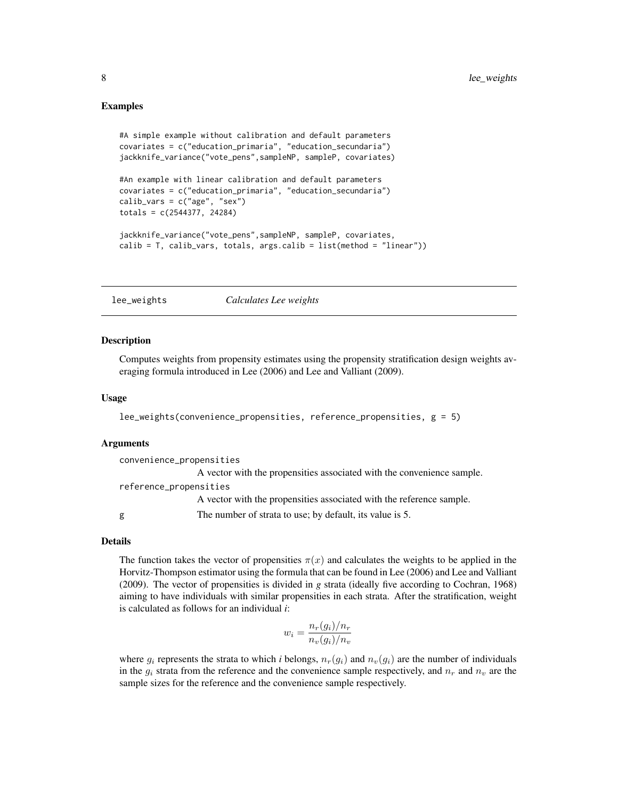```
#A simple example without calibration and default parameters
covariates = c("education_primaria", "education_secundaria")
jackknife_variance("vote_pens",sampleNP, sampleP, covariates)
```

```
#An example with linear calibration and default parameters
covariates = c("education_primaria", "education_secundaria")
calib\_vars = c("age", "sex")totals = c(2544377, 24284)
```

```
jackknife_variance("vote_pens",sampleNP, sampleP, covariates,
calib = T, calib_vars, totals, args.calib = list(method = "linear"))
```
<span id="page-7-1"></span>lee\_weights *Calculates Lee weights*

#### **Description**

Computes weights from propensity estimates using the propensity stratification design weights averaging formula introduced in Lee (2006) and Lee and Valliant (2009).

#### Usage

```
lee_weights(convenience_propensities, reference_propensities, g = 5)
```
#### Arguments

convenience\_propensities A vector with the propensities associated with the convenience sample. reference\_propensities A vector with the propensities associated with the reference sample. g The number of strata to use; by default, its value is 5.

#### Details

The function takes the vector of propensities  $\pi(x)$  and calculates the weights to be applied in the Horvitz-Thompson estimator using the formula that can be found in Lee (2006) and Lee and Valliant (2009). The vector of propensities is divided in *g* strata (ideally five according to Cochran, 1968) aiming to have individuals with similar propensities in each strata. After the stratification, weight is calculated as follows for an individual *i*:

$$
w_i = \frac{n_r(g_i)/n_r}{n_v(g_i)/n_v}
$$

where  $g_i$  represents the strata to which *i* belongs,  $n_r(g_i)$  and  $n_v(g_i)$  are the number of individuals in the  $g_i$  strata from the reference and the convenience sample respectively, and  $n_r$  and  $n_v$  are the sample sizes for the reference and the convenience sample respectively.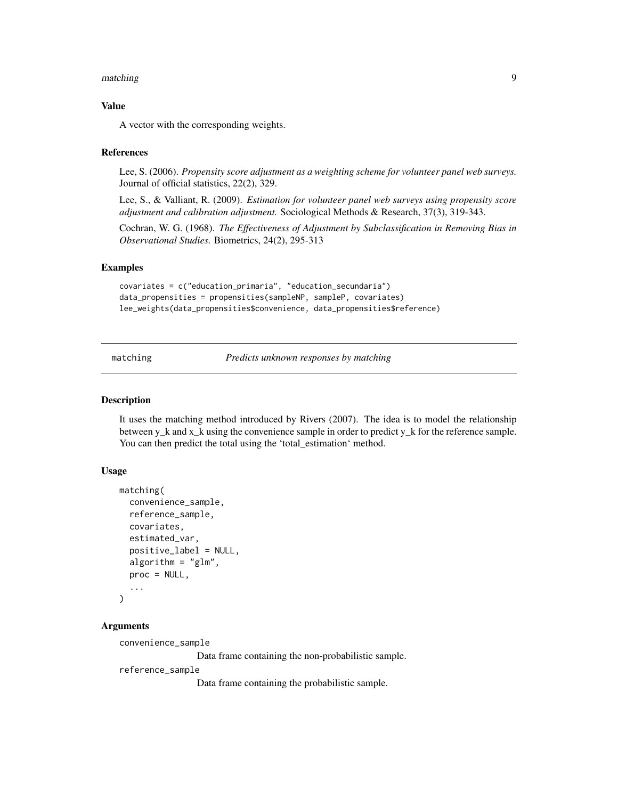#### <span id="page-8-0"></span>matching 9

#### Value

A vector with the corresponding weights.

#### References

Lee, S. (2006). *Propensity score adjustment as a weighting scheme for volunteer panel web surveys.* Journal of official statistics, 22(2), 329.

Lee, S., & Valliant, R. (2009). *Estimation for volunteer panel web surveys using propensity score adjustment and calibration adjustment.* Sociological Methods & Research, 37(3), 319-343.

Cochran, W. G. (1968). *The Effectiveness of Adjustment by Subclassification in Removing Bias in Observational Studies.* Biometrics, 24(2), 295-313

#### Examples

```
covariates = c("education_primaria", "education_secundaria")
data_propensities = propensities(sampleNP, sampleP, covariates)
lee_weights(data_propensities$convenience, data_propensities$reference)
```
matching *Predicts unknown responses by matching*

### Description

It uses the matching method introduced by Rivers (2007). The idea is to model the relationship between y\_k and x\_k using the convenience sample in order to predict y\_k for the reference sample. You can then predict the total using the 'total\_estimation' method.

#### Usage

```
matching(
  convenience_sample,
  reference_sample,
  covariates,
  estimated_var,
  positive_label = NULL,
  algorithm = "glm",proc = NULL,
  ...
)
```
#### Arguments

convenience\_sample

Data frame containing the non-probabilistic sample.

reference\_sample

Data frame containing the probabilistic sample.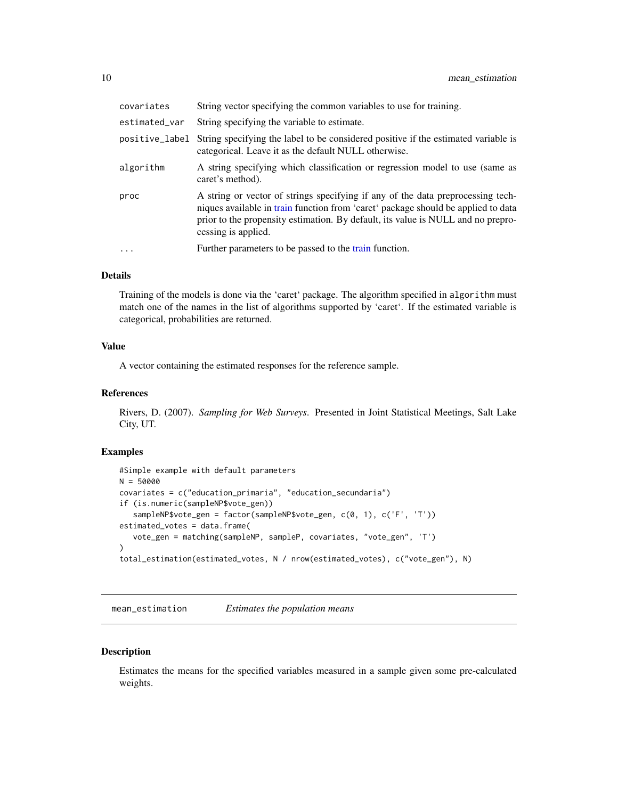<span id="page-9-0"></span>

| covariates     | String vector specifying the common variables to use for training.                                                                                                                                                                                                              |
|----------------|---------------------------------------------------------------------------------------------------------------------------------------------------------------------------------------------------------------------------------------------------------------------------------|
| estimated_var  | String specifying the variable to estimate.                                                                                                                                                                                                                                     |
| positive_label | String specifying the label to be considered positive if the estimated variable is<br>categorical. Leave it as the default NULL otherwise.                                                                                                                                      |
| algorithm      | A string specifying which classification or regression model to use (same as<br>caret's method).                                                                                                                                                                                |
| proc           | A string or vector of strings specifying if any of the data preprocessing tech-<br>niques available in train function from 'caret' package should be applied to data<br>prior to the propensity estimation. By default, its value is NULL and no prepro-<br>cessing is applied. |
| $\ddotsc$      | Further parameters to be passed to the train function.                                                                                                                                                                                                                          |

#### Details

Training of the models is done via the 'caret' package. The algorithm specified in algorithm must match one of the names in the list of algorithms supported by 'caret'. If the estimated variable is categorical, probabilities are returned.

#### Value

A vector containing the estimated responses for the reference sample.

#### References

Rivers, D. (2007). *Sampling for Web Surveys*. Presented in Joint Statistical Meetings, Salt Lake City, UT.

#### Examples

```
#Simple example with default parameters
N = 50000
covariates = c("education_primaria", "education_secundaria")
if (is.numeric(sampleNP$vote_gen))
   sampleNP$vote_gen = factor(sampleNP$vote_gen, c(0, 1), c('F', 'T'))
estimated_votes = data.frame(
   vote_gen = matching(sampleNP, sampleP, covariates, "vote_gen", 'T')
)
total_estimation(estimated_votes, N / nrow(estimated_votes), c("vote_gen"), N)
```
mean\_estimation *Estimates the population means*

#### Description

Estimates the means for the specified variables measured in a sample given some pre-calculated weights.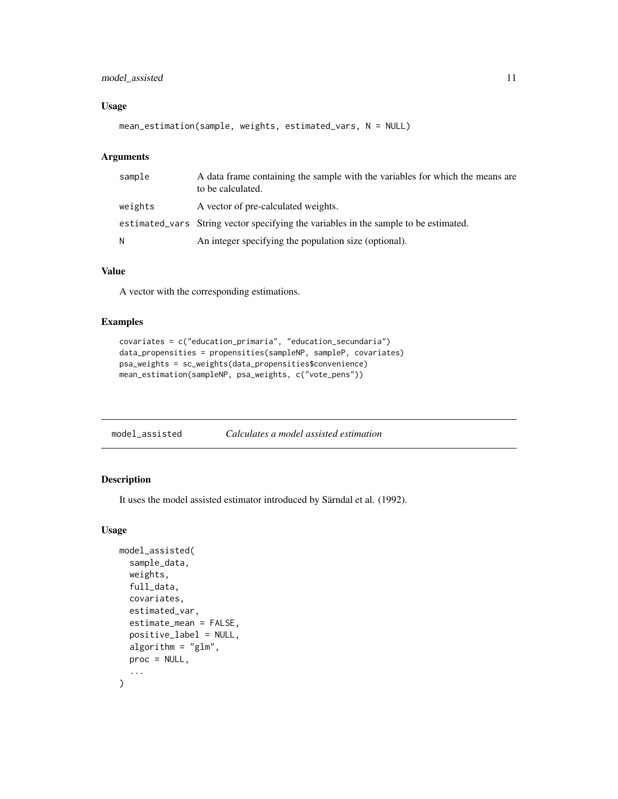#### <span id="page-10-0"></span>model\_assisted 11

#### Usage

```
mean_estimation(sample, weights, estimated_vars, N = NULL)
```
#### Arguments

| sample  | A data frame containing the sample with the variables for which the means are<br>to be calculated. |
|---------|----------------------------------------------------------------------------------------------------|
| weights | A vector of pre-calculated weights.                                                                |
|         | estimated_vars String vector specifying the variables in the sample to be estimated.               |
| N       | An integer specifying the population size (optional).                                              |

#### Value

A vector with the corresponding estimations.

#### Examples

```
covariates = c("education_primaria", "education_secundaria")
data_propensities = propensities(sampleNP, sampleP, covariates)
psa_weights = sc_weights(data_propensities$convenience)
mean_estimation(sampleNP, psa_weights, c("vote_pens"))
```
#### Description

It uses the model assisted estimator introduced by Särndal et al. (1992).

#### Usage

```
model_assisted(
  sample_data,
  weights,
  full_data,
  covariates,
  estimated_var,
  estimate_mean = FALSE,
  positive_label = NULL,
  algorithm = "glm",proc = NULL,
  ...
\mathcal{L}
```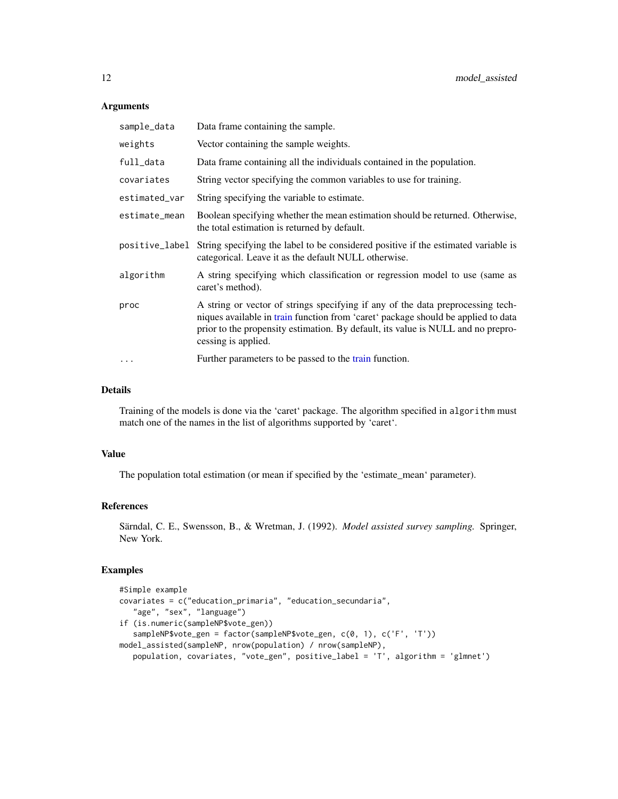#### Arguments

| sample_data    | Data frame containing the sample.                                                                                                                                                                                                                                               |
|----------------|---------------------------------------------------------------------------------------------------------------------------------------------------------------------------------------------------------------------------------------------------------------------------------|
| weights        | Vector containing the sample weights.                                                                                                                                                                                                                                           |
| full_data      | Data frame containing all the individuals contained in the population.                                                                                                                                                                                                          |
| covariates     | String vector specifying the common variables to use for training.                                                                                                                                                                                                              |
| estimated_var  | String specifying the variable to estimate.                                                                                                                                                                                                                                     |
| estimate_mean  | Boolean specifying whether the mean estimation should be returned. Otherwise,<br>the total estimation is returned by default.                                                                                                                                                   |
| positive_label | String specifying the label to be considered positive if the estimated variable is<br>categorical. Leave it as the default NULL otherwise.                                                                                                                                      |
| algorithm      | A string specifying which classification or regression model to use (same as<br>caret's method).                                                                                                                                                                                |
| proc           | A string or vector of strings specifying if any of the data preprocessing tech-<br>niques available in train function from 'caret' package should be applied to data<br>prior to the propensity estimation. By default, its value is NULL and no prepro-<br>cessing is applied. |
| $\ddots$       | Further parameters to be passed to the train function.                                                                                                                                                                                                                          |

#### Details

Training of the models is done via the 'caret' package. The algorithm specified in algorithm must match one of the names in the list of algorithms supported by 'caret'.

#### Value

The population total estimation (or mean if specified by the 'estimate\_mean' parameter).

#### References

Särndal, C. E., Swensson, B., & Wretman, J. (1992). *Model assisted survey sampling.* Springer, New York.

```
#Simple example
covariates = c("education_primaria", "education_secundaria",
   "age", "sex", "language")
if (is.numeric(sampleNP$vote_gen))
   sampleNP$vote_gen = factor(sampleNP$vote_gen, c(0, 1), c('F', 'T'))
model_assisted(sampleNP, nrow(population) / nrow(sampleNP),
   population, covariates, "vote_gen", positive_label = 'T', algorithm = 'glmnet')
```
<span id="page-11-0"></span>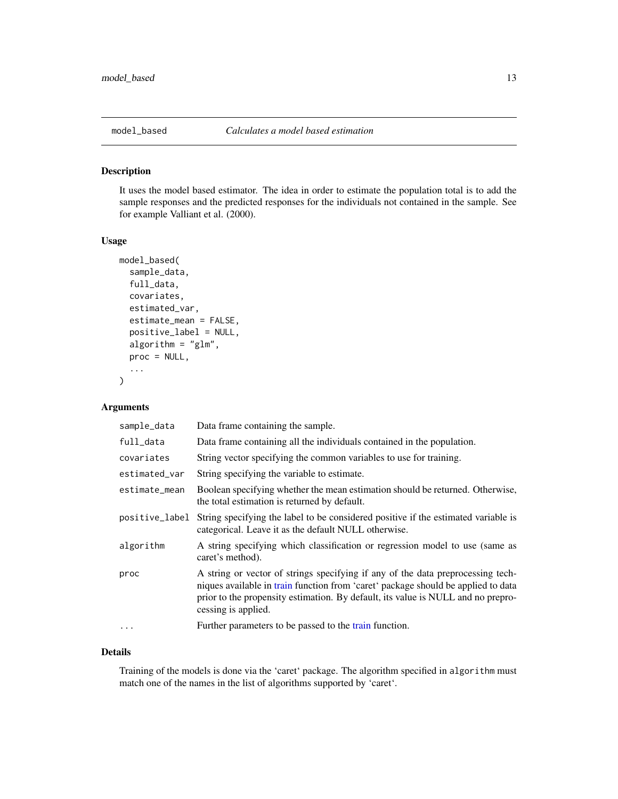<span id="page-12-0"></span>

It uses the model based estimator. The idea in order to estimate the population total is to add the sample responses and the predicted responses for the individuals not contained in the sample. See for example Valliant et al. (2000).

#### Usage

```
model_based(
  sample_data,
  full_data,
  covariates,
  estimated_var,
  estimate_mean = FALSE,
  positive_label = NULL,
  algorithm = "glm",proc = NULL,
  ...
)
```
#### Arguments

| sample_data    | Data frame containing the sample.                                                                                                                                                                                                                                               |
|----------------|---------------------------------------------------------------------------------------------------------------------------------------------------------------------------------------------------------------------------------------------------------------------------------|
| full_data      | Data frame containing all the individuals contained in the population.                                                                                                                                                                                                          |
| covariates     | String vector specifying the common variables to use for training.                                                                                                                                                                                                              |
| estimated_var  | String specifying the variable to estimate.                                                                                                                                                                                                                                     |
| estimate_mean  | Boolean specifying whether the mean estimation should be returned. Otherwise,<br>the total estimation is returned by default.                                                                                                                                                   |
| positive_label | String specifying the label to be considered positive if the estimated variable is<br>categorical. Leave it as the default NULL otherwise.                                                                                                                                      |
| algorithm      | A string specifying which classification or regression model to use (same as<br>caret's method).                                                                                                                                                                                |
| proc           | A string or vector of strings specifying if any of the data preprocessing tech-<br>niques available in train function from 'caret' package should be applied to data<br>prior to the propensity estimation. By default, its value is NULL and no prepro-<br>cessing is applied. |
| $\cdot$        | Further parameters to be passed to the train function.                                                                                                                                                                                                                          |

#### Details

Training of the models is done via the 'caret' package. The algorithm specified in algorithm must match one of the names in the list of algorithms supported by 'caret'.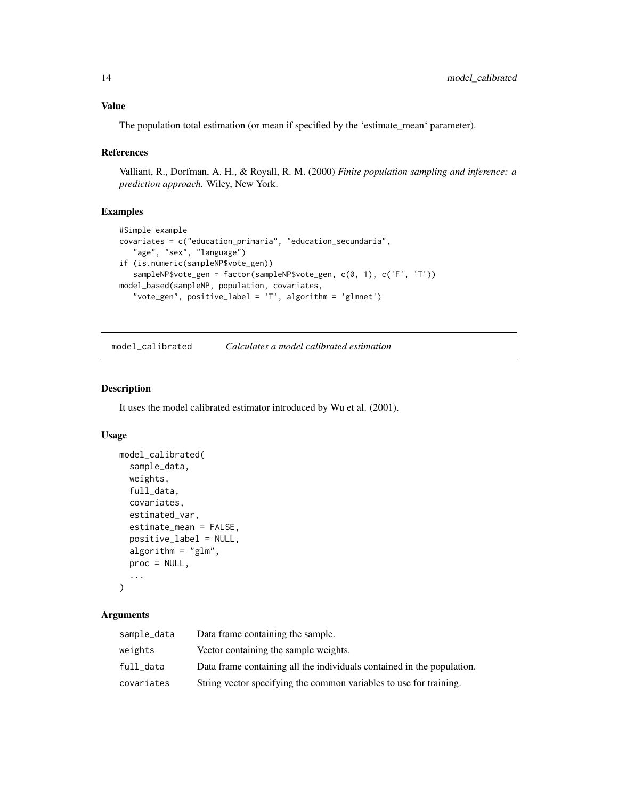#### <span id="page-13-0"></span>Value

The population total estimation (or mean if specified by the 'estimate\_mean' parameter).

#### References

Valliant, R., Dorfman, A. H., & Royall, R. M. (2000) *Finite population sampling and inference: a prediction approach.* Wiley, New York.

#### Examples

```
#Simple example
covariates = c("education_primaria", "education_secundaria",
   "age", "sex", "language")
if (is.numeric(sampleNP$vote_gen))
   sampleNP$vote_gen = factor(sampleNP$vote_gen, c(0, 1), c('F', 'T'))
model_based(sampleNP, population, covariates,
   "vote_gen", positive_label = 'T', algorithm = 'glmnet')
```
model\_calibrated *Calculates a model calibrated estimation*

#### Description

It uses the model calibrated estimator introduced by Wu et al. (2001).

#### Usage

```
model_calibrated(
  sample_data,
  weights,
  full_data,
  covariates,
  estimated_var,
  estimate_mean = FALSE,
  positive_label = NULL,
  algorithm = "glm",proc = NULL,
  ...
)
```
#### Arguments

| sample_data | Data frame containing the sample.                                      |
|-------------|------------------------------------------------------------------------|
| weights     | Vector containing the sample weights.                                  |
| full_data   | Data frame containing all the individuals contained in the population. |
| covariates  | String vector specifying the common variables to use for training.     |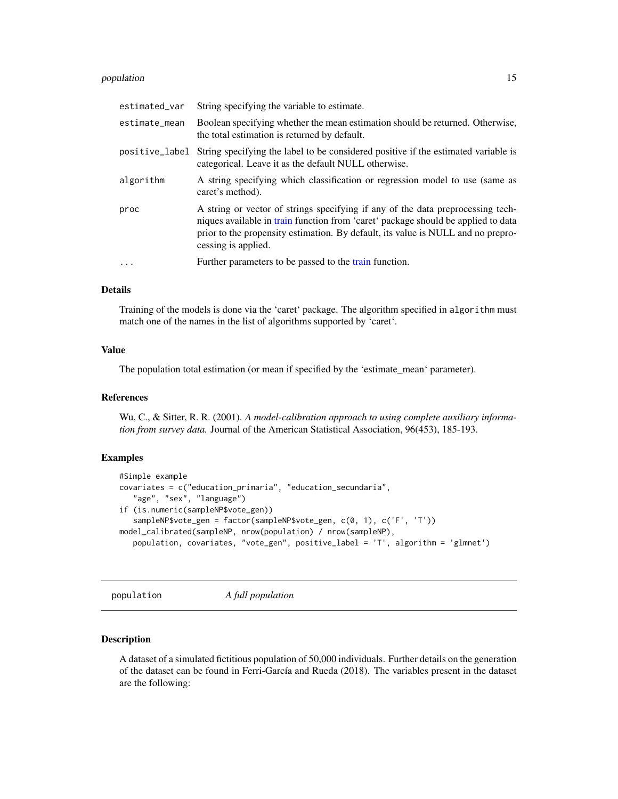#### <span id="page-14-0"></span>population and the set of the set of the set of the set of the set of the set of the set of the set of the set of the set of the set of the set of the set of the set of the set of the set of the set of the set of the set o

| estimated_var  | String specifying the variable to estimate.                                                                                                                                                                                                                                     |
|----------------|---------------------------------------------------------------------------------------------------------------------------------------------------------------------------------------------------------------------------------------------------------------------------------|
| estimate_mean  | Boolean specifying whether the mean estimation should be returned. Otherwise,<br>the total estimation is returned by default.                                                                                                                                                   |
| positive_label | String specifying the label to be considered positive if the estimated variable is<br>categorical. Leave it as the default NULL otherwise.                                                                                                                                      |
| algorithm      | A string specifying which classification or regression model to use (same as<br>caret's method).                                                                                                                                                                                |
| proc           | A string or vector of strings specifying if any of the data preprocessing tech-<br>niques available in train function from 'caret' package should be applied to data<br>prior to the propensity estimation. By default, its value is NULL and no prepro-<br>cessing is applied. |
| $\ddots$ .     | Further parameters to be passed to the train function.                                                                                                                                                                                                                          |

#### Details

Training of the models is done via the 'caret' package. The algorithm specified in algorithm must match one of the names in the list of algorithms supported by 'caret'.

#### Value

The population total estimation (or mean if specified by the 'estimate\_mean' parameter).

#### References

Wu, C., & Sitter, R. R. (2001). *A model-calibration approach to using complete auxiliary information from survey data.* Journal of the American Statistical Association, 96(453), 185-193.

#### Examples

```
#Simple example
covariates = c("education_primaria", "education_secundaria",
   "age", "sex", "language")
if (is.numeric(sampleNP$vote_gen))
  sampleNP$vote_gen = factor(sampleNP$vote_gen, c(0, 1), c('F', 'T'))
model_calibrated(sampleNP, nrow(population) / nrow(sampleNP),
  population, covariates, "vote_gen", positive_label = 'T', algorithm = 'glmnet')
```
population *A full population*

#### Description

A dataset of a simulated fictitious population of 50,000 individuals. Further details on the generation of the dataset can be found in Ferri-García and Rueda (2018). The variables present in the dataset are the following: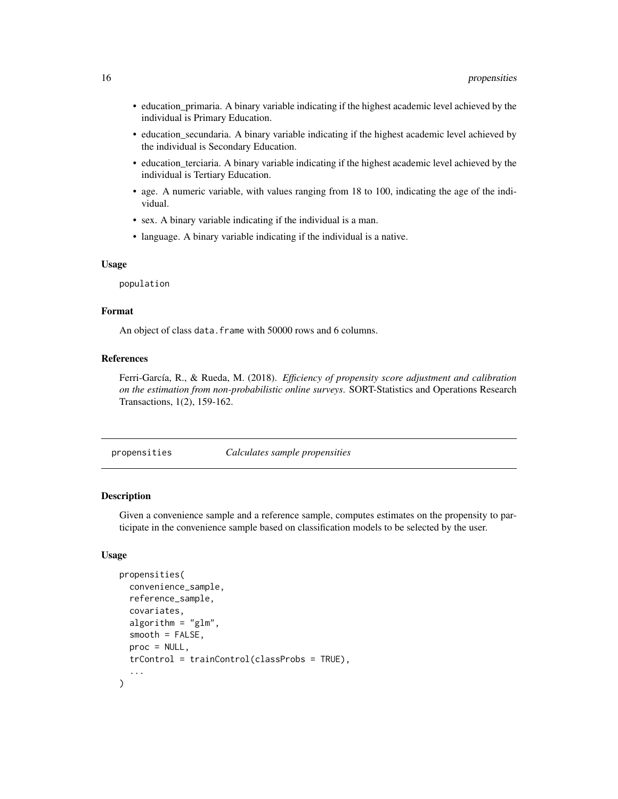- <span id="page-15-0"></span>• education\_primaria. A binary variable indicating if the highest academic level achieved by the individual is Primary Education.
- education\_secundaria. A binary variable indicating if the highest academic level achieved by the individual is Secondary Education.
- education\_terciaria. A binary variable indicating if the highest academic level achieved by the individual is Tertiary Education.
- age. A numeric variable, with values ranging from 18 to 100, indicating the age of the individual.
- sex. A binary variable indicating if the individual is a man.
- language. A binary variable indicating if the individual is a native.

#### Usage

population

#### Format

An object of class data. frame with 50000 rows and 6 columns.

#### References

Ferri-García, R., & Rueda, M. (2018). *Efficiency of propensity score adjustment and calibration on the estimation from non-probabilistic online surveys*. SORT-Statistics and Operations Research Transactions, 1(2), 159-162.

propensities *Calculates sample propensities*

#### Description

Given a convenience sample and a reference sample, computes estimates on the propensity to participate in the convenience sample based on classification models to be selected by the user.

#### Usage

```
propensities(
  convenience_sample,
  reference_sample,
  covariates,
  algorithm = "glm",smooth = FALSE,
 proc = NULL,
  trControl = trainControl(classProbs = TRUE),
  ...
)
```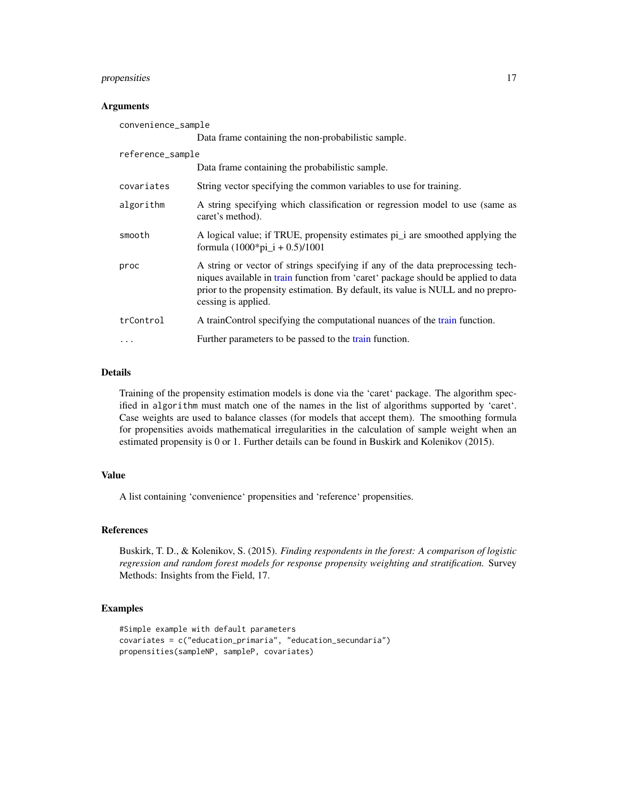#### <span id="page-16-0"></span>propensities 17

#### **Arguments**

| convenience_sample |                                                                                                                                                                                                                                                                                 |  |
|--------------------|---------------------------------------------------------------------------------------------------------------------------------------------------------------------------------------------------------------------------------------------------------------------------------|--|
|                    | Data frame containing the non-probabilistic sample.                                                                                                                                                                                                                             |  |
| reference_sample   |                                                                                                                                                                                                                                                                                 |  |
|                    | Data frame containing the probabilistic sample.                                                                                                                                                                                                                                 |  |
| covariates         | String vector specifying the common variables to use for training.                                                                                                                                                                                                              |  |
| algorithm          | A string specifying which classification or regression model to use (same as<br>caret's method).                                                                                                                                                                                |  |
| smooth             | A logical value; if TRUE, propensity estimates pi_i are smoothed applying the<br>formula $(1000 \times pi_i + 0.5)/1001$                                                                                                                                                        |  |
| proc               | A string or vector of strings specifying if any of the data preprocessing tech-<br>niques available in train function from 'caret' package should be applied to data<br>prior to the propensity estimation. By default, its value is NULL and no prepro-<br>cessing is applied. |  |
| trControl          | A trainControl specifying the computational nuances of the train function.                                                                                                                                                                                                      |  |
| .                  | Further parameters to be passed to the train function.                                                                                                                                                                                                                          |  |

#### Details

Training of the propensity estimation models is done via the 'caret' package. The algorithm specified in algorithm must match one of the names in the list of algorithms supported by 'caret'. Case weights are used to balance classes (for models that accept them). The smoothing formula for propensities avoids mathematical irregularities in the calculation of sample weight when an estimated propensity is 0 or 1. Further details can be found in Buskirk and Kolenikov (2015).

#### Value

A list containing 'convenience' propensities and 'reference' propensities.

#### References

Buskirk, T. D., & Kolenikov, S. (2015). *Finding respondents in the forest: A comparison of logistic regression and random forest models for response propensity weighting and stratification.* Survey Methods: Insights from the Field, 17.

```
#Simple example with default parameters
covariates = c("education_primaria", "education_secundaria")
propensities(sampleNP, sampleP, covariates)
```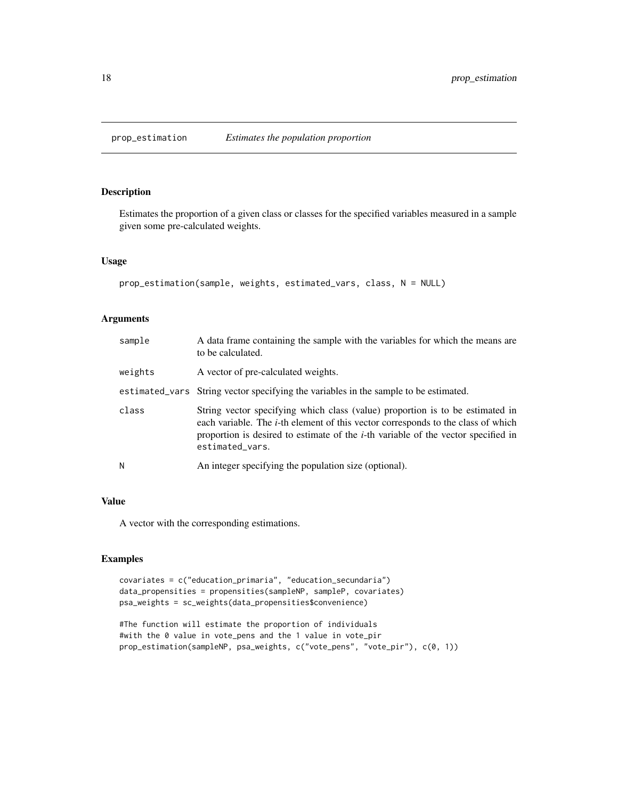<span id="page-17-0"></span>

Estimates the proportion of a given class or classes for the specified variables measured in a sample given some pre-calculated weights.

#### Usage

```
prop_estimation(sample, weights, estimated_vars, class, N = NULL)
```
#### Arguments

| sample  | A data frame containing the sample with the variables for which the means are<br>to be calculated.                                                                                                                                                                                        |
|---------|-------------------------------------------------------------------------------------------------------------------------------------------------------------------------------------------------------------------------------------------------------------------------------------------|
| weights | A vector of pre-calculated weights.                                                                                                                                                                                                                                                       |
|         | estimated_vars String vector specifying the variables in the sample to be estimated.                                                                                                                                                                                                      |
| class   | String vector specifying which class (value) proportion is to be estimated in<br>each variable. The <i>i</i> -th element of this vector corresponds to the class of which<br>proportion is desired to estimate of the <i>i</i> -th variable of the vector specified in<br>estimated_vars. |
| Ν       | An integer specifying the population size (optional).                                                                                                                                                                                                                                     |

#### Value

A vector with the corresponding estimations.

```
covariates = c("education_primaria", "education_secundaria")
data_propensities = propensities(sampleNP, sampleP, covariates)
psa_weights = sc_weights(data_propensities$convenience)
```

```
#The function will estimate the proportion of individuals
#with the 0 value in vote_pens and the 1 value in vote_pir
prop_estimation(sampleNP, psa_weights, c("vote_pens", "vote_pir"), c(0, 1))
```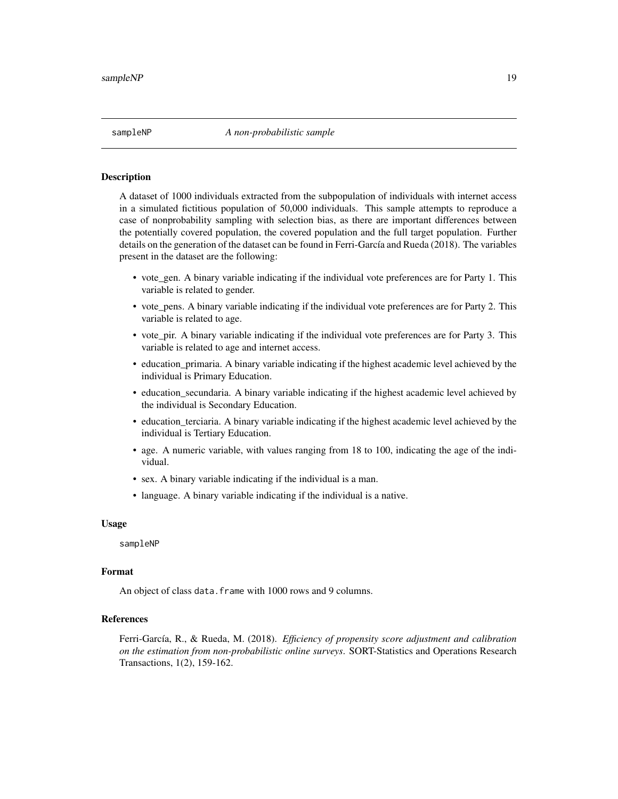<span id="page-18-0"></span>A dataset of 1000 individuals extracted from the subpopulation of individuals with internet access in a simulated fictitious population of 50,000 individuals. This sample attempts to reproduce a case of nonprobability sampling with selection bias, as there are important differences between the potentially covered population, the covered population and the full target population. Further details on the generation of the dataset can be found in Ferri-García and Rueda (2018). The variables present in the dataset are the following:

- vote\_gen. A binary variable indicating if the individual vote preferences are for Party 1. This variable is related to gender.
- vote pens. A binary variable indicating if the individual vote preferences are for Party 2. This variable is related to age.
- vote pir. A binary variable indicating if the individual vote preferences are for Party 3. This variable is related to age and internet access.
- education\_primaria. A binary variable indicating if the highest academic level achieved by the individual is Primary Education.
- education\_secundaria. A binary variable indicating if the highest academic level achieved by the individual is Secondary Education.
- education\_terciaria. A binary variable indicating if the highest academic level achieved by the individual is Tertiary Education.
- age. A numeric variable, with values ranging from 18 to 100, indicating the age of the individual.
- sex. A binary variable indicating if the individual is a man.
- language. A binary variable indicating if the individual is a native.

#### Usage

#### sampleNP

#### Format

An object of class data. frame with 1000 rows and 9 columns.

#### References

Ferri-García, R., & Rueda, M. (2018). *Efficiency of propensity score adjustment and calibration on the estimation from non-probabilistic online surveys*. SORT-Statistics and Operations Research Transactions, 1(2), 159-162.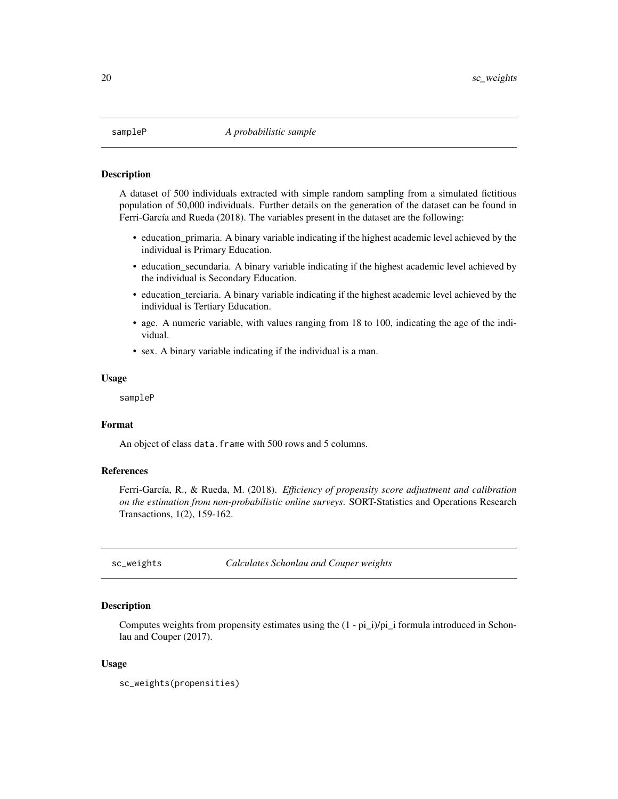<span id="page-19-0"></span>A dataset of 500 individuals extracted with simple random sampling from a simulated fictitious population of 50,000 individuals. Further details on the generation of the dataset can be found in Ferri-García and Rueda (2018). The variables present in the dataset are the following:

- education\_primaria. A binary variable indicating if the highest academic level achieved by the individual is Primary Education.
- education\_secundaria. A binary variable indicating if the highest academic level achieved by the individual is Secondary Education.
- education\_terciaria. A binary variable indicating if the highest academic level achieved by the individual is Tertiary Education.
- age. A numeric variable, with values ranging from 18 to 100, indicating the age of the individual.
- sex. A binary variable indicating if the individual is a man.

#### Usage

sampleP

#### Format

An object of class data.frame with 500 rows and 5 columns.

#### References

Ferri-García, R., & Rueda, M. (2018). *Efficiency of propensity score adjustment and calibration on the estimation from non-probabilistic online surveys*. SORT-Statistics and Operations Research Transactions, 1(2), 159-162.

<span id="page-19-1"></span>sc\_weights *Calculates Schonlau and Couper weights*

#### Description

Computes weights from propensity estimates using the (1 - pi\_i)/pi\_i formula introduced in Schonlau and Couper (2017).

#### Usage

sc\_weights(propensities)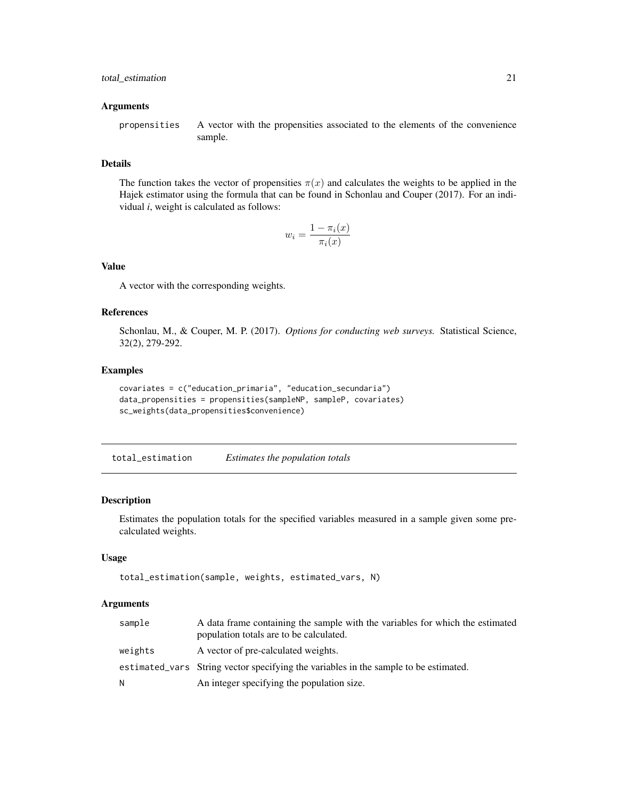#### <span id="page-20-0"></span>**Arguments**

propensities A vector with the propensities associated to the elements of the convenience sample.

#### Details

The function takes the vector of propensities  $\pi(x)$  and calculates the weights to be applied in the Hajek estimator using the formula that can be found in Schonlau and Couper (2017). For an individual *i*, weight is calculated as follows:

$$
w_i = \frac{1 - \pi_i(x)}{\pi_i(x)}
$$

#### Value

A vector with the corresponding weights.

#### References

Schonlau, M., & Couper, M. P. (2017). *Options for conducting web surveys.* Statistical Science, 32(2), 279-292.

#### Examples

```
covariates = c("education_primaria", "education_secundaria")
data_propensities = propensities(sampleNP, sampleP, covariates)
sc_weights(data_propensities$convenience)
```
total\_estimation *Estimates the population totals*

#### Description

Estimates the population totals for the specified variables measured in a sample given some precalculated weights.

#### Usage

```
total_estimation(sample, weights, estimated_vars, N)
```
#### Arguments

| sample  | A data frame containing the sample with the variables for which the estimated<br>population totals are to be calculated. |
|---------|--------------------------------------------------------------------------------------------------------------------------|
| weights | A vector of pre-calculated weights.                                                                                      |
|         | estimated_vars String vector specifying the variables in the sample to be estimated.                                     |
| N       | An integer specifying the population size.                                                                               |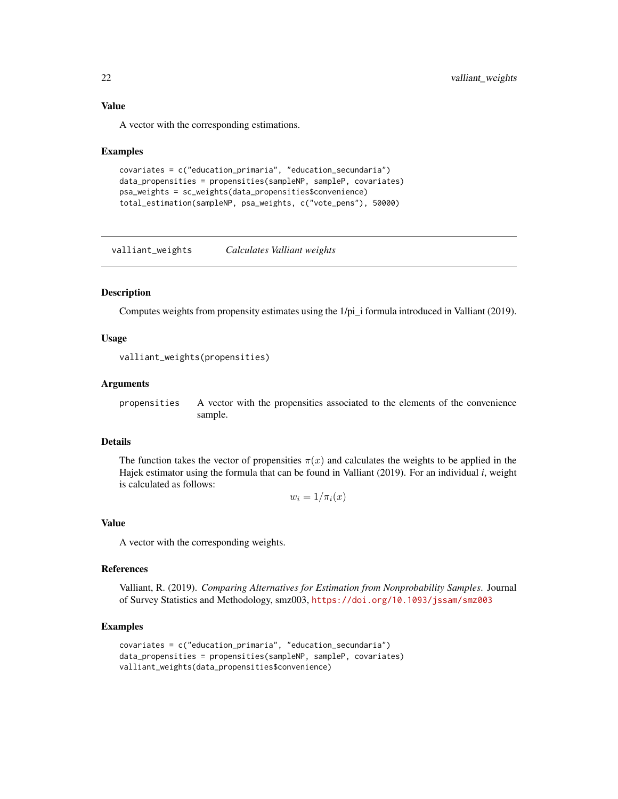#### Value

A vector with the corresponding estimations.

#### Examples

```
covariates = c("education_primaria", "education_secundaria")
data_propensities = propensities(sampleNP, sampleP, covariates)
psa_weights = sc_weights(data_propensities$convenience)
total_estimation(sampleNP, psa_weights, c("vote_pens"), 50000)
```
<span id="page-21-1"></span>valliant\_weights *Calculates Valliant weights*

#### **Description**

Computes weights from propensity estimates using the 1/pi\_i formula introduced in Valliant (2019).

#### Usage

valliant\_weights(propensities)

#### Arguments

propensities A vector with the propensities associated to the elements of the convenience sample.

#### Details

The function takes the vector of propensities  $\pi(x)$  and calculates the weights to be applied in the Hajek estimator using the formula that can be found in Valliant (2019). For an individual *i*, weight is calculated as follows:

 $w_i = 1/\pi_i(x)$ 

#### Value

A vector with the corresponding weights.

#### References

Valliant, R. (2019). *Comparing Alternatives for Estimation from Nonprobability Samples*. Journal of Survey Statistics and Methodology, smz003, <https://doi.org/10.1093/jssam/smz003>

```
covariates = c("education_primaria", "education_secundaria")
data_propensities = propensities(sampleNP, sampleP, covariates)
valliant_weights(data_propensities$convenience)
```
<span id="page-21-0"></span>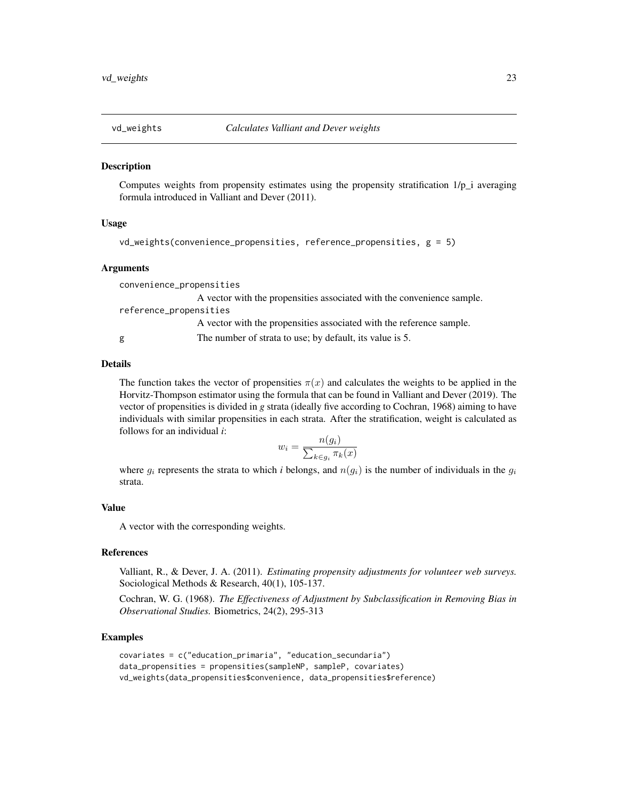<span id="page-22-1"></span><span id="page-22-0"></span>

Computes weights from propensity estimates using the propensity stratification 1/p\_i averaging formula introduced in Valliant and Dever (2011).

#### Usage

```
vd_weights(convenience_propensities, reference_propensities, g = 5)
```
#### Arguments

convenience\_propensities A vector with the propensities associated with the convenience sample. reference\_propensities A vector with the propensities associated with the reference sample. g The number of strata to use; by default, its value is 5.

#### Details

The function takes the vector of propensities  $\pi(x)$  and calculates the weights to be applied in the Horvitz-Thompson estimator using the formula that can be found in Valliant and Dever (2019). The vector of propensities is divided in *g* strata (ideally five according to Cochran, 1968) aiming to have individuals with similar propensities in each strata. After the stratification, weight is calculated as follows for an individual *i*:

$$
w_i = \frac{n(g_i)}{\sum_{k \in g_i} \pi_k(x)}
$$

where  $g_i$  represents the strata to which *i* belongs, and  $n(g_i)$  is the number of individuals in the  $g_i$ strata.

#### Value

A vector with the corresponding weights.

#### References

Valliant, R., & Dever, J. A. (2011). *Estimating propensity adjustments for volunteer web surveys.* Sociological Methods & Research, 40(1), 105-137.

Cochran, W. G. (1968). *The Effectiveness of Adjustment by Subclassification in Removing Bias in Observational Studies.* Biometrics, 24(2), 295-313

```
covariates = c("education_primaria", "education_secundaria")
data_propensities = propensities(sampleNP, sampleP, covariates)
vd_weights(data_propensities$convenience, data_propensities$reference)
```